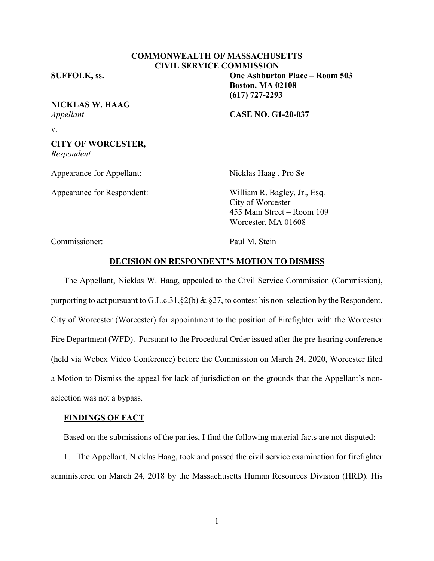# **COMMONWEALTH OF MASSACHUSETTS CIVIL SERVICE COMMISSION**

**SUFFOLK, ss. One Ashburton Place – Room 503**

# **NICKLAS W. HAAG**

*Appellant* **CASE NO. G1-20-037**

**Boston, MA 02108 (617) 727-2293**

v.

#### **CITY OF WORCESTER,** *Respondent*

Appearance for Appellant: Nicklas Haag, Pro Se

Appearance for Respondent: William R. Bagley, Jr., Esq. City of Worcester 455 Main Street – Room 109 Worcester, MA 01608

Commissioner: Paul M. Stein

#### **DECISION ON RESPONDENT'S MOTION TO DISMISS**

The Appellant, Nicklas W. Haag, appealed to the Civil Service Commission (Commission), purporting to act pursuant to G.L.c.31,§2(b) & §27, to contest his non-selection by the Respondent, City of Worcester (Worcester) for appointment to the position of Firefighter with the Worcester Fire Department (WFD). Pursuant to the Procedural Order issued after the pre-hearing conference (held via Webex Video Conference) before the Commission on March 24, 2020, Worcester filed a Motion to Dismiss the appeal for lack of jurisdiction on the grounds that the Appellant's nonselection was not a bypass.

## **FINDINGS OF FACT**

Based on the submissions of the parties, I find the following material facts are not disputed:

1. The Appellant, Nicklas Haag, took and passed the civil service examination for firefighter administered on March 24, 2018 by the Massachusetts Human Resources Division (HRD). His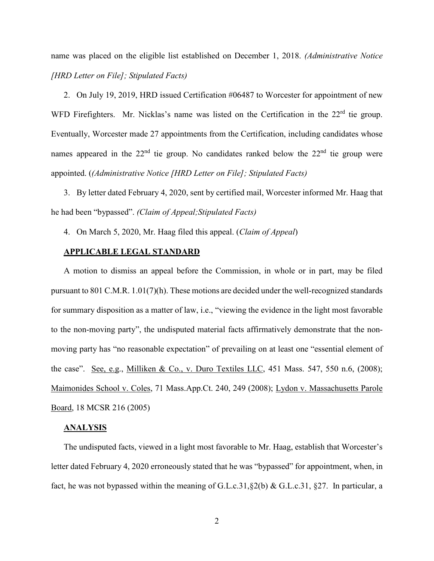name was placed on the eligible list established on December 1, 2018. *(Administrative Notice [HRD Letter on File]; Stipulated Facts)*

2. On July 19, 2019, HRD issued Certification #06487 to Worcester for appointment of new WFD Firefighters. Mr. Nicklas's name was listed on the Certification in the 22<sup>rd</sup> tie group. Eventually, Worcester made 27 appointments from the Certification, including candidates whose names appeared in the 22<sup>nd</sup> tie group. No candidates ranked below the 22<sup>nd</sup> tie group were appointed. (*(Administrative Notice [HRD Letter on File]; Stipulated Facts)*

3. By letter dated February 4, 2020, sent by certified mail, Worcester informed Mr. Haag that he had been "bypassed". *(Claim of Appeal;Stipulated Facts)*

4. On March 5, 2020, Mr. Haag filed this appeal. (*Claim of Appeal*)

## **APPLICABLE LEGAL STANDARD**

A motion to dismiss an appeal before the Commission, in whole or in part, may be filed pursuant to 801 C.M.R. 1.01(7)(h). These motions are decided under the well-recognized standards for summary disposition as a matter of law, i.e., "viewing the evidence in the light most favorable to the non-moving party", the undisputed material facts affirmatively demonstrate that the nonmoving party has "no reasonable expectation" of prevailing on at least one "essential element of the case". See, e.g., Milliken & Co., v. Duro Textiles LLC, 451 Mass. 547, 550 n.6, (2008); Maimonides School v. Coles, 71 Mass.App.Ct. 240, 249 (2008); Lydon v. Massachusetts Parole Board, 18 MCSR 216 (2005)

#### **ANALYSIS**

The undisputed facts, viewed in a light most favorable to Mr. Haag, establish that Worcester's letter dated February 4, 2020 erroneously stated that he was "bypassed" for appointment, when, in fact, he was not bypassed within the meaning of G.L.c.31,§2(b) & G.L.c.31, §27. In particular, a